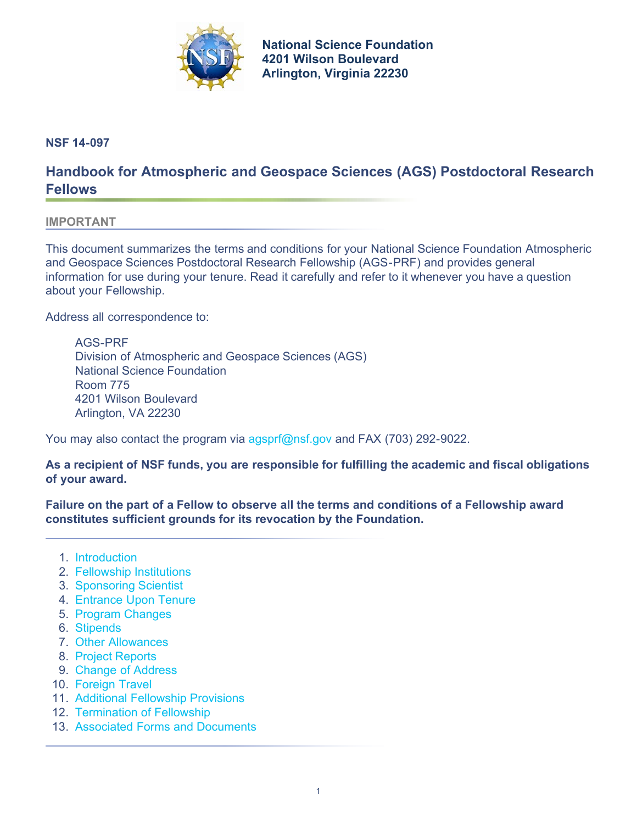

**[National Science Foundation](http://www.nsf.gov) 4201 Wilson Boulevard Arlington, Virginia 22230**

<span id="page-0-1"></span>**NSF 14-097**

# **Handbook for Atmospheric and Geospace Sciences (AGS) Postdoctoral Research Fellows**

#### **IMPORTANT**

This document summarizes the terms and conditions for your National Science Foundation Atmospheric and Geospace Sciences Postdoctoral Research Fellowship (AGS-PRF) and provides general information for use during your tenure. Read it carefully and refer to it whenever you have a question about your Fellowship.

Address all correspondence to:

AGS-PRF Division of Atmospheric and Geospace Sciences (AGS) National Science Foundation Room 775 4201 Wilson Boulevard Arlington, VA 22230

You may also contact the program via [agsprf@nsf.gov](mailto:agsprf@nsf.gov) and FAX (703) 292-9022.

**As a recipient of NSF funds, you are responsible for fulfilling the academic and fiscal obligations of your award.** 

**Failure on the part of a Fellow to observe all the terms and conditions of a Fellowship award constitutes sufficient grounds for its revocation by the Foundation.**

- 1. [Introduction](#page-0-0)
- 2. [Fellowship Institutions](#page-1-0)
- 3. [Sponsoring Scientist](#page-1-1)
- 4. [Entrance Upon Tenure](#page-1-2)
- 5. [Program Changes](#page-2-0)
- 6. [Stipends](#page-2-1)
- 7. [Other Allowances](#page-3-0)
- 8. [Project Reports](#page-4-0)
- 9. [Change of Address](#page-5-0)
- 10. [Foreign Travel](#page-5-1)
- 11. [Additional Fellowship Provisions](#page-8-0)
- 12. [Termination of Fellowship](#page-12-0)
- <span id="page-0-0"></span>13. [Associated Forms and Documents](#page-13-0)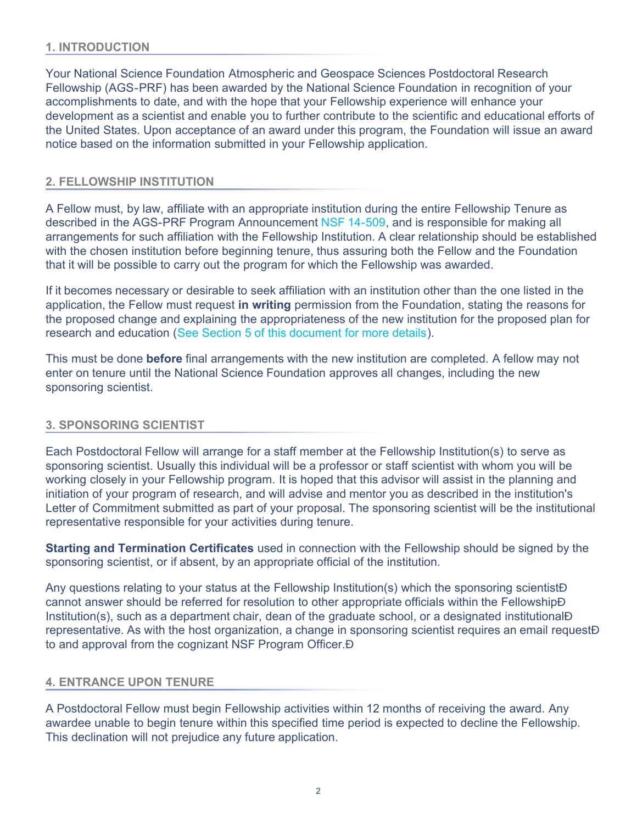# **1. INTRODUCTION**

Your National Science Foundation Atmospheric and Geospace Sciences Postdoctoral Research Fellowship (AGS-PRF) has been awarded by the National Science Foundation in recognition of your accomplishments to date, and with the hope that your Fellowship experience will enhance your development as a scientist and enable you to further contribute to the scientific and educational efforts of the United States. Upon acceptance of an award under this program, the Foundation will issue an award notice based on the information submitted in your Fellowship application.

# <span id="page-1-0"></span>**2. FELLOWSHIP INSTITUTION**

A Fellow must, by law, affiliate with an appropriate institution during the entire Fellowship Tenure as described in the AGS-PRF Program Announcement [NSF 14-509,](http://www.nsf.gov/publications/pub_summ.jsp?ods_key=nsf14509) and is responsible for making all arrangements for such affiliation with the Fellowship Institution. A clear relationship should be established with the chosen institution before beginning tenure, thus assuring both the Fellow and the Foundation that it will be possible to carry out the program for which the Fellowship was awarded.

If it becomes necessary or desirable to seek affiliation with an institution other than the one listed in the application, the Fellow must request **in writing** permission from the Foundation, stating the reasons for the proposed change and explaining the appropriateness of the new institution for the proposed plan for research and education ([See Section 5 of this document for more details\)](#page-2-0).

This must be done **before** final arrangements with the new institution are completed. A fellow may not enter on tenure until the National Science Foundation approves all changes, including the new sponsoring scientist.

## <span id="page-1-1"></span>**3. SPONSORING SCIENTIST**

Each Postdoctoral Fellow will arrange for a staff member at the Fellowship Institution(s) to serve as sponsoring scientist. Usually this individual will be a professor or staff scientist with whom you will be working closely in your Fellowship program. It is hoped that this advisor will assist in the planning and initiation of your program of research, and will advise and mentor you as described in the institution's Letter of Commitment submitted as part of your proposal. The sponsoring scientist will be the institutional representative responsible for your activities during tenure.

**Starting and Termination Certificates** used in connection with the Fellowship should be signed by the sponsoring scientist, or if absent, by an appropriate official of the institution.

Any questions relating to your status at the Fellowship Institution(s) which the sponsoring scientist A cannot answer should be referred for resolution to other appropriate officials within the Fellowship Institution(s), such as a department chair, dean of the graduate school, or a designated institutional A representative. As with the host organization, a change in sponsoring scientist requires an email request to and approval from the cognizant NSF Program Officer.

## <span id="page-1-2"></span>**4. ENTRANCE UPON TENURE**

A Postdoctoral Fellow must begin Fellowship activities within 12 months of receiving the award. Any awardee unable to begin tenure within this specified time period is expected to decline the Fellowship. This declination will not prejudice any future application.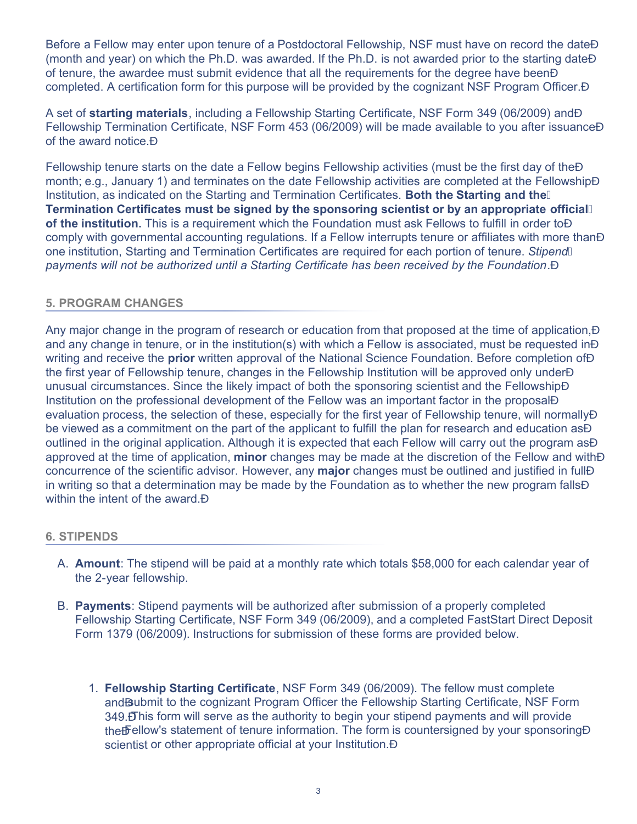Before a Fellow may enter upon tenure of a Postdoctoral Fellowship, NSF must have on record the dateA (month and year) on which the Ph.D. was awarded. If the Ph.D. is not awarded prior to the starting date of tenure, the awardee must submit evidence that all the requirements for the degree have been completed. A certification form for this purpose will be provided by the cognizant NSF Program Officer. A

A set of **starting materials**, including a Fellowship Starting Certificate, NSF Form 349 (06/2009) Fellowship Termination Certificate, NSF Form 453 (06/2009) will be made available to you after issuanceA of the award notice.

Fellowship tenure starts on the date a Fellow begins Fellowship activities (must be the first day of the month; e.g., January 1) and terminates on the date Fellowship activities are completed at the Fellowship Institution, as indicated on the Starting and Termination Certificates. **Both the Starting and the Termination Certificates must be signed by the sponsoring scientist or by an appropriate official of the institution.** This is a requirement which the Foundation must ask Fellows to fulfill in order to A comply with governmental accounting regulations. If a Fellow interrupts tenure or affiliates with more than one institution, Starting and Termination Certificates are required for each portion of tenure. *Stipend payments will not be authorized until a Starting Certificate has been received by the Foundation*.

# <span id="page-2-0"></span>**5. PROGRAM CHANGES**

Any major change in the program of research or education from that proposed at the time of application, and any change in tenure, or in the institution(s) with which a Fellow is associated, must be requested in  $\hat{A}$ writing and receive the **prior** written approval of the National Science Foundation. Before completion of the first year of Fellowship tenure, changes in the Fellowship Institution will be approved only under unusual circumstances. Since the likely impact of both the sponsoring scientist and the Fellowship Institution on the professional development of the Fellow was an important factor in the proposal evaluation process, the selection of these, especially for the first year of Fellowship tenure, will normally Â be viewed as a commitment on the part of the applicant to fulfill the plan for research and education as  $\acute{A}$ outlined in the original application. Although it is expected that each Fellow will carry out the program as A approved at the time of application, **minor** changes may be made at the discretion of the Fellow and with concurrence of the scientific advisor. However, any **major** changes must be outlined and justified in full in writing so that a determination may be made by the Foundation as to whether the new program falls within the intent of the award. A

## <span id="page-2-1"></span>**6. STIPENDS**

- A. **Amount**: The stipend will be paid at a monthly rate which totals \$58,000 for each calendar year of the 2-year fellowship.
- B. **Payments**: Stipend payments will be authorized after submission of a properly completed Fellowship Starting Certificate, NSF Form 349 (06/2009), and a completed FastStart Direct Deposit Form 1379 (06/2009). Instructions for submission of these forms are provided below.
	- 1. **Fellowship Starting Certificate**, NSF Form 349 (06/2009). The fellow must complete and submit to the cognizant Program Officer the Fellowship Starting Certificate, NSF Form 349. This form will serve as the authority to begin your stipend payments and will provide the Fellow's statement of tenure information. The form is countersigned by your sponsoring A scientist or other appropriate official at your Institution. A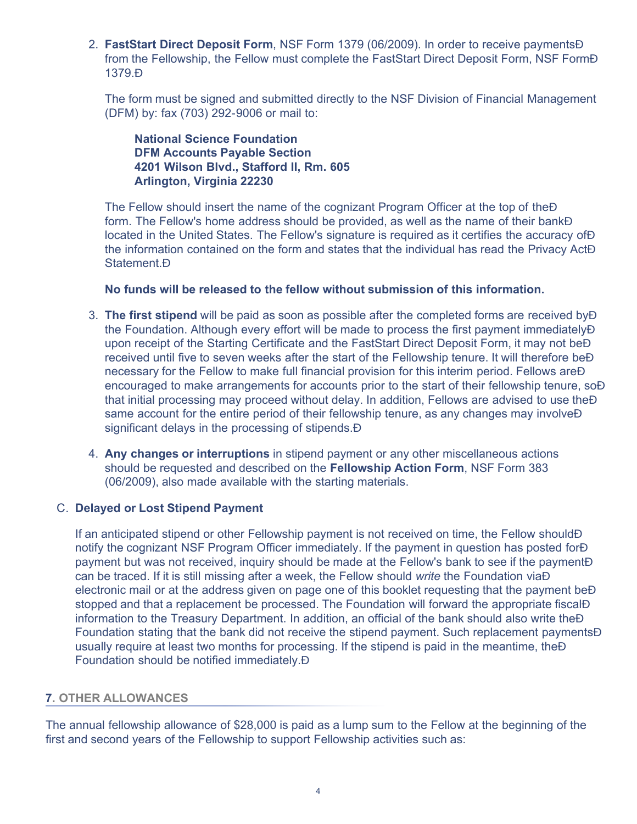2. **FastStart Direct Deposit Form**, NSF Form 1379 (06/2009). In order to receive paymentsA from the Fellowship, the Fellow must complete the FastStart Direct Deposit Form, NSF Form 1379.

The form must be signed and submitted directly to the NSF Division of Financial Management (DFM) by: fax (703) 292-9006 or mail to:

# **National Science Foundation DFM Accounts Payable Section 4201 Wilson Blvd., Stafford II, Rm. 605 Arlington, Virginia 22230**

The Fellow should insert the name of the cognizant Program Officer at the top of the  $\acute{\text{A}}$ form. The Fellow's home address should be provided, as well as the name of their bankA located in the United States. The Fellow's signature is required as it certifies the accuracy of the information contained on the form and states that the individual has read the Privacy Act Statement. Á

# **No funds will be released to the fellow without submission of this information.**

- 3. **The first stipend** will be paid as soon as possible after the completed forms are received by the Foundation. Although every effort will be made to process the first payment immediately A upon receipt of the Starting Certificate and the FastStart Direct Deposit Form, it may not be received until five to seven weeks after the start of the Fellowship tenure. It will therefore be necessary for the Fellow to make full financial provision for this interim period. Fellows are encouraged to make arrangements for accounts prior to the start of their fellowship tenure, so that initial processing may proceed without delay. In addition, Fellows are advised to use the same account for the entire period of their fellowship tenure, as any changes may involve  $\acute{\rm{A}}$ significant delays in the processing of stipends. A
- 4. **Any changes or interruptions** in stipend payment or any other miscellaneous actions should be requested and described on the **Fellowship Action Form**, NSF Form 383 (06/2009), also made available with the starting materials.

#### C. **Delayed or Lost Stipend Payment**

If an anticipated stipend or other Fellowship payment is not received on time, the Fellow should notify the cognizant NSF Program Officer immediately. If the payment in question has posted for A payment but was not received, inquiry should be made at the Fellow's bank to see if the payment can be traced. If it is still missing after a week, the Fellow should *write* the Foundation viaA electronic mail or at the address given on page one of this booklet requesting that the payment be stopped and that a replacement be processed. The Foundation will forward the appropriate fiscalA information to the Treasury Department. In addition, an official of the bank should also write the  $\overline{A}$ Foundation stating that the bank did not receive the stipend payment. Such replacement payments usually require at least two months for processing. If the stipend is paid in the meantime, the  $\acute{A}$ Foundation should be notified immediately.

## <span id="page-3-0"></span>**7. OTHER ALLOWANCES**

The annual fellowship allowance of \$28,000 is paid as a lump sum to the Fellow at the beginning of the first and second years of the Fellowship to support Fellowship activities such as: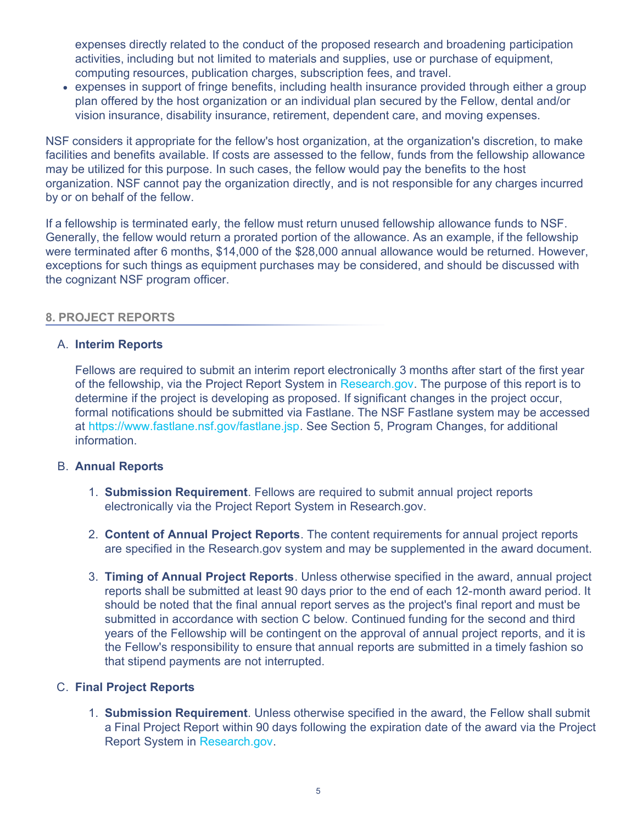expenses directly related to the conduct of the proposed research and broadening participation activities, including but not limited to materials and supplies, use or purchase of equipment, computing resources, publication charges, subscription fees, and travel.

• expenses in support of fringe benefits, including health insurance provided through either a group plan offered by the host organization or an individual plan secured by the Fellow, dental and/or vision insurance, disability insurance, retirement, dependent care, and moving expenses.

NSF considers it appropriate for the fellow's host organization, at the organization's discretion, to make facilities and benefits available. If costs are assessed to the fellow, funds from the fellowship allowance may be utilized for this purpose. In such cases, the fellow would pay the benefits to the host organization. NSF cannot pay the organization directly, and is not responsible for any charges incurred by or on behalf of the fellow.

If a fellowship is terminated early, the fellow must return unused fellowship allowance funds to NSF. Generally, the fellow would return a prorated portion of the allowance. As an example, if the fellowship were terminated after 6 months, \$14,000 of the \$28,000 annual allowance would be returned. However, exceptions for such things as equipment purchases may be considered, and should be discussed with the cognizant NSF program officer.

## <span id="page-4-0"></span>**8. PROJECT REPORTS**

## A. **Interim Reports**

Fellows are required to submit an interim report electronically 3 months after start of the first year of the fellowship, via the Project Report System in [Research.gov.](http://www.research.gov/) The purpose of this report is to determine if the project is developing as proposed. If significant changes in the project occur, formal notifications should be submitted via Fastlane. The NSF Fastlane system may be accessed at<https://www.fastlane.nsf.gov/fastlane.jsp>. See Section 5, Program Changes, for additional information.

## B. **Annual Reports**

- 1. **Submission Requirement**. Fellows are required to submit annual project reports electronically via the Project Report System in Research.gov.
- 2. **Content of Annual Project Reports**. The content requirements for annual project reports are specified in the Research.gov system and may be supplemented in the award document.
- 3. **Timing of Annual Project Reports**. Unless otherwise specified in the award, annual project reports shall be submitted at least 90 days prior to the end of each 12-month award period. It should be noted that the final annual report serves as the project's final report and must be submitted in accordance with section C below. Continued funding for the second and third years of the Fellowship will be contingent on the approval of annual project reports, and it is the Fellow's responsibility to ensure that annual reports are submitted in a timely fashion so that stipend payments are not interrupted.

# C. **Final Project Reports**

1. **Submission Requirement**. Unless otherwise specified in the award, the Fellow shall submit a Final Project Report within 90 days following the expiration date of the award via the Project Report System in [Research.gov.](http://www.research.gov/)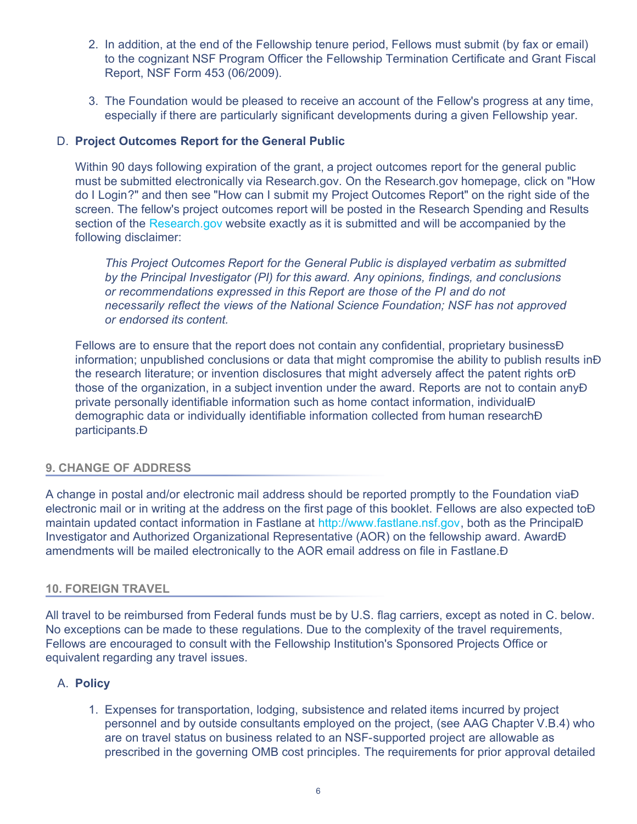- 2. In addition, at the end of the Fellowship tenure period, Fellows must submit (by fax or email) to the cognizant NSF Program Officer the Fellowship Termination Certificate and Grant Fiscal Report, NSF Form 453 (06/2009).
- 3. The Foundation would be pleased to receive an account of the Fellow's progress at any time, especially if there are particularly significant developments during a given Fellowship year.

# D. **Project Outcomes Report for the General Public**

Within 90 days following expiration of the grant, a project outcomes report for the general public must be submitted electronically via Research.gov. On the Research.gov homepage, click on "How do I Login?" and then see "How can I submit my Project Outcomes Report" on the right side of the screen. The fellow's project outcomes report will be posted in the Research Spending and Results section of the [Research.gov](http://www.research.gov/) website exactly as it is submitted and will be accompanied by the following disclaimer:

*This Project Outcomes Report for the General Public is displayed verbatim as submitted by the Principal Investigator (PI) for this award. Any opinions, findings, and conclusions or recommendations expressed in this Report are those of the PI and do not necessarily reflect the views of the National Science Foundation; NSF has not approved or endorsed its content.*

Fellows are to ensure that the report does not contain any confidential, proprietary business A information; unpublished conclusions or data that might compromise the ability to publish results in the research literature; or invention disclosures that might adversely affect the patent rights or those of the organization, in a subject invention under the award. Reports are not to contain any private personally identifiable information such as home contact information, individual demographic data or individually identifiable information collected from human research participants.

## <span id="page-5-0"></span>**9. CHANGE OF ADDRESS**

A change in postal and/or electronic mail address should be reported promptly to the Foundation via  $\hat{A}$ electronic mail or in writing at the address on the first page of this booklet. Fellows are also expected to A maintain updated contact information in Fastlane at [http://www.fastlane.nsf.gov,](http://www.fastlane.nsf.gov/) both as the PrincipalA Investigator and Authorized Organizational Representative (AOR) on the fellowship award. Award amendments will be mailed electronically to the AOR email address on file in Fastlane.

#### <span id="page-5-1"></span>**10. FOREIGN TRAVEL**

All travel to be reimbursed from Federal funds must be by U.S. flag carriers, except as noted in C. below. No exceptions can be made to these regulations. Due to the complexity of the travel requirements, Fellows are encouraged to consult with the Fellowship Institution's Sponsored Projects Office or equivalent regarding any travel issues.

## A. **Policy**

1. Expenses for transportation, lodging, subsistence and related items incurred by project personnel and by outside consultants employed on the project, (see AAG Chapter V.B.4) who are on travel status on business related to an NSF-supported project are allowable as prescribed in the governing OMB cost principles. The requirements for prior approval detailed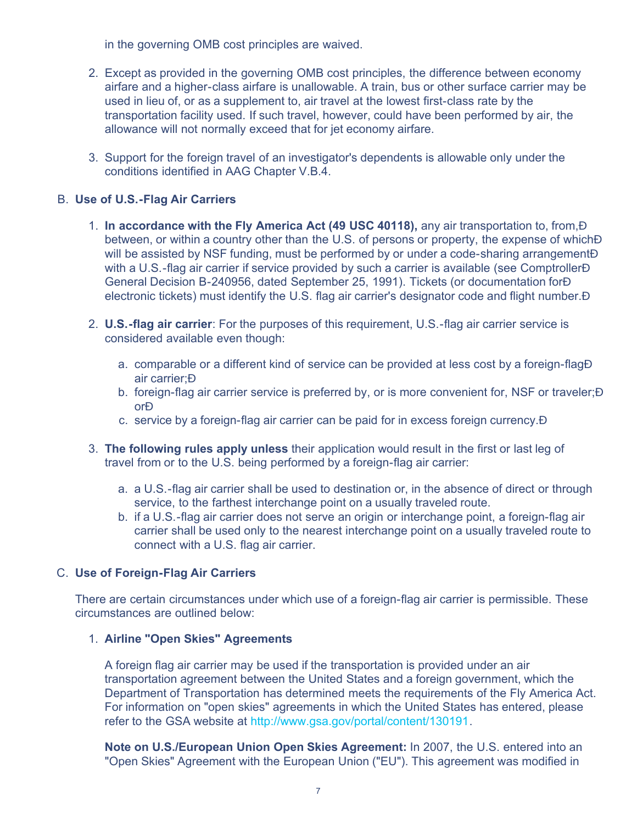in the governing OMB cost principles are waived.

- 2. Except as provided in the governing OMB cost principles, the difference between economy airfare and a higher-class airfare is unallowable. A train, bus or other surface carrier may be used in lieu of, or as a supplement to, air travel at the lowest first-class rate by the transportation facility used. If such travel, however, could have been performed by air, the allowance will not normally exceed that for jet economy airfare.
- 3. Support for the foreign travel of an investigator's dependents is allowable only under the conditions identified in AAG Chapter V.B.4.

# B. **Use of U.S.-Flag Air Carriers**

- 1. **In accordance with the Fly America Act (49 USC 40118),** any air transportation to, from, between, or within a country other than the U.S. of persons or property, the expense of which  $\acute{A}$ will be assisted by NSF funding, must be performed by or under a code-sharing arrangement A with a U.S.-flag air carrier if service provided by such a carrier is available (see ComptrollerÁ General Decision B-240956, dated September 25, 1991). Tickets (or documentation for Á electronic tickets) must identify the U.S. flag air carrier's designator code and flight number.
- 2. **U.S.-flag air carrier**: For the purposes of this requirement, U.S.-flag air carrier service is considered available even though:
	- a. comparable or a different kind of service can be provided at less cost by a foreign-flag air carrier;
	- b. foreign-flag air carrier service is preferred by, or is more convenient for, NSF or traveler; A or
	- c. service by a foreign-flag air carrier can be paid for in excess foreign currency.
- 3. **The following rules apply unless** their application would result in the first or last leg of travel from or to the U.S. being performed by a foreign-flag air carrier:
	- a. a U.S.-flag air carrier shall be used to destination or, in the absence of direct or through service, to the farthest interchange point on a usually traveled route.
	- b. if a U.S.-flag air carrier does not serve an origin or interchange point, a foreign-flag air carrier shall be used only to the nearest interchange point on a usually traveled route to connect with a U.S. flag air carrier.

## C. **Use of Foreign-Flag Air Carriers**

There are certain circumstances under which use of a foreign-flag air carrier is permissible. These circumstances are outlined below:

#### 1. **Airline "Open Skies" Agreements**

A foreign flag air carrier may be used if the transportation is provided under an air transportation agreement between the United States and a foreign government, which the Department of Transportation has determined meets the requirements of the Fly America Act. For information on "open skies" agreements in which the United States has entered, please refer to the GSA website at [http://www.gsa.gov/portal/content/130191](http://www.gsa.gov/portal/content/103191).

**Note on U.S./European Union Open Skies Agreement:** In 2007, the U.S. entered into an "Open Skies" Agreement with the European Union ("EU"). This agreement was modified in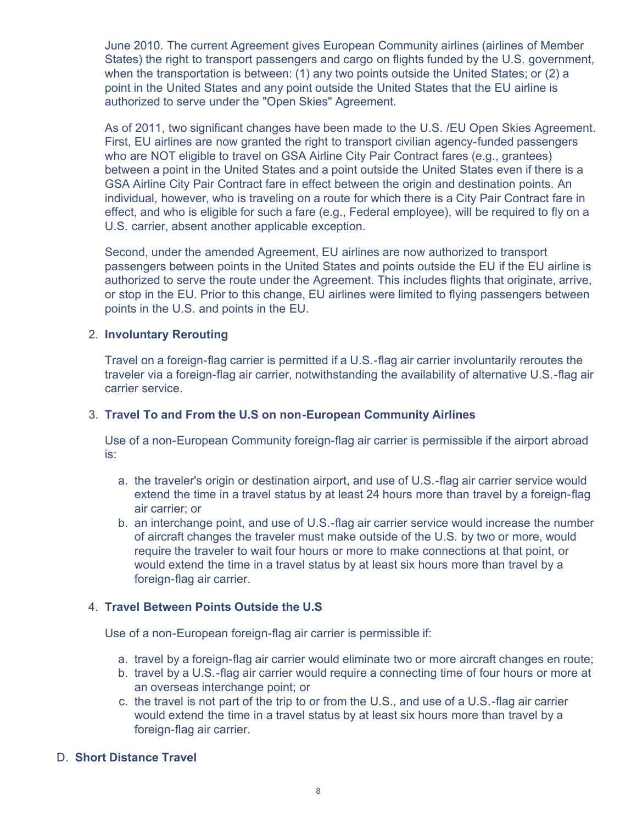June 2010. The current Agreement gives European Community airlines (airlines of Member States) the right to transport passengers and cargo on flights funded by the U.S. government, when the transportation is between: (1) any two points outside the United States; or (2) a point in the United States and any point outside the United States that the EU airline is authorized to serve under the "Open Skies" Agreement.

As of 2011, two significant changes have been made to the U.S. /EU Open Skies Agreement. First, EU airlines are now granted the right to transport civilian agency-funded passengers who are NOT eligible to travel on GSA Airline City Pair Contract fares (e.g., grantees) between a point in the United States and a point outside the United States even if there is a GSA Airline City Pair Contract fare in effect between the origin and destination points. An individual, however, who is traveling on a route for which there is a City Pair Contract fare in effect, and who is eligible for such a fare (e.g., Federal employee), will be required to fly on a U.S. carrier, absent another applicable exception.

Second, under the amended Agreement, EU airlines are now authorized to transport passengers between points in the United States and points outside the EU if the EU airline is authorized to serve the route under the Agreement. This includes flights that originate, arrive, or stop in the EU. Prior to this change, EU airlines were limited to flying passengers between points in the U.S. and points in the EU.

## 2. **Involuntary Rerouting**

Travel on a foreign-flag carrier is permitted if a U.S.-flag air carrier involuntarily reroutes the traveler via a foreign-flag air carrier, notwithstanding the availability of alternative U.S.-flag air carrier service.

## 3. **Travel To and From the U.S on non-European Community Airlines**

Use of a non-European Community foreign-flag air carrier is permissible if the airport abroad is:

- a. the traveler's origin or destination airport, and use of U.S.-flag air carrier service would extend the time in a travel status by at least 24 hours more than travel by a foreign-flag air carrier; or
- b. an interchange point, and use of U.S.-flag air carrier service would increase the number of aircraft changes the traveler must make outside of the U.S. by two or more, would require the traveler to wait four hours or more to make connections at that point, or would extend the time in a travel status by at least six hours more than travel by a foreign-flag air carrier.

## 4. **Travel Between Points Outside the U.S**

Use of a non-European foreign-flag air carrier is permissible if:

- a. travel by a foreign-flag air carrier would eliminate two or more aircraft changes en route;
- b. travel by a U.S.-flag air carrier would require a connecting time of four hours or more at an overseas interchange point; or
- c. the travel is not part of the trip to or from the U.S., and use of a U.S.-flag air carrier would extend the time in a travel status by at least six hours more than travel by a foreign-flag air carrier.

## D. **Short Distance Travel**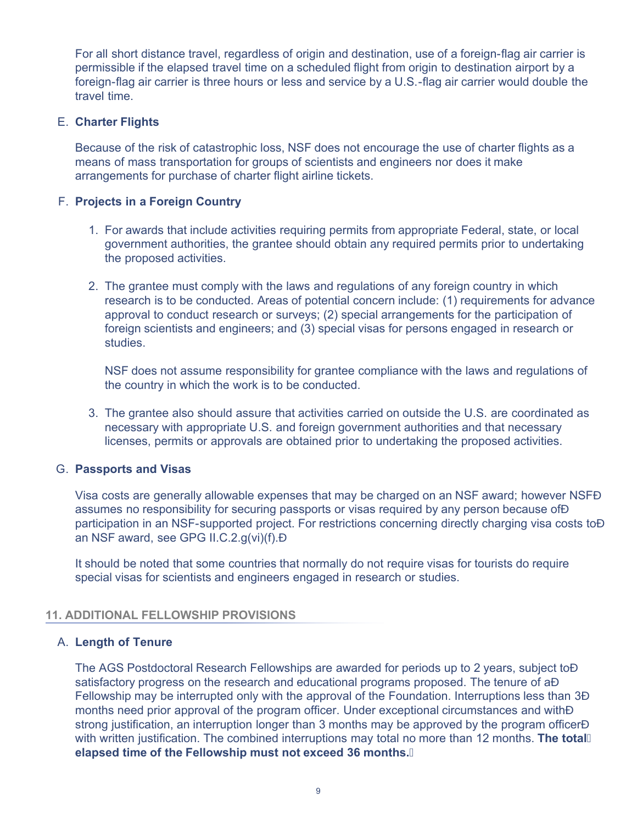For all short distance travel, regardless of origin and destination, use of a foreign-flag air carrier is permissible if the elapsed travel time on a scheduled flight from origin to destination airport by a foreign-flag air carrier is three hours or less and service by a U.S.-flag air carrier would double the travel time.

## E. **Charter Flights**

Because of the risk of catastrophic loss, NSF does not encourage the use of charter flights as a means of mass transportation for groups of scientists and engineers nor does it make arrangements for purchase of charter flight airline tickets.

## F. **Projects in a Foreign Country**

- 1. For awards that include activities requiring permits from appropriate Federal, state, or local government authorities, the grantee should obtain any required permits prior to undertaking the proposed activities.
- 2. The grantee must comply with the laws and regulations of any foreign country in which research is to be conducted. Areas of potential concern include: (1) requirements for advance approval to conduct research or surveys; (2) special arrangements for the participation of foreign scientists and engineers; and (3) special visas for persons engaged in research or studies.

NSF does not assume responsibility for grantee compliance with the laws and regulations of the country in which the work is to be conducted.

3. The grantee also should assure that activities carried on outside the U.S. are coordinated as necessary with appropriate U.S. and foreign government authorities and that necessary licenses, permits or approvals are obtained prior to undertaking the proposed activities.

#### G. **Passports and Visas**

Visa costs are generally allowable expenses that may be charged on an NSF award; however NSF assumes no responsibility for securing passports or visas required by any person because of A participation in an NSF-supported project. For restrictions concerning directly charging visa costs to A an NSF award, see GPG II.C.2.g(vi)(f).

It should be noted that some countries that normally do not require visas for tourists do require special visas for scientists and engineers engaged in research or studies.

## <span id="page-8-0"></span>**11. ADDITIONAL FELLOWSHIP PROVISIONS**

## A. **Length of Tenure**

The AGS Postdoctoral Research Fellowships are awarded for periods up to 2 years, subject to satisfactory progress on the research and educational programs proposed. The tenure of aA Fellowship may be interrupted only with the approval of the Foundation. Interruptions less than  $3\overline{A}$ months need prior approval of the program officer. Under exceptional circumstances and with strong justification, an interruption longer than 3 months may be approved by the program officer  $\acute{A}$ with written justification. The combined interruptions may total no more than 12 months. **The total elapsed time of the Fellowship must not exceed 36 months.**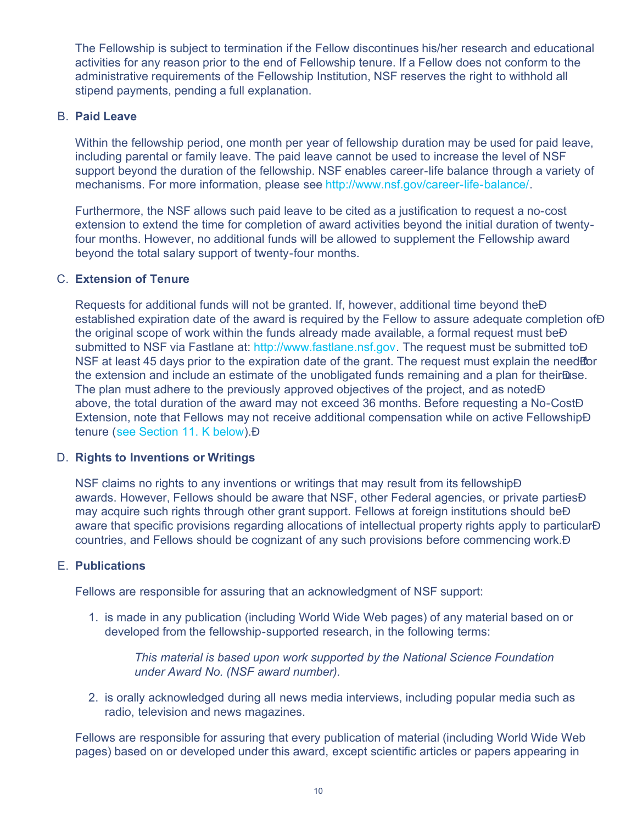The Fellowship is subject to termination if the Fellow discontinues his/her research and educational activities for any reason prior to the end of Fellowship tenure. If a Fellow does not conform to the administrative requirements of the Fellowship Institution, NSF reserves the right to withhold all stipend payments, pending a full explanation.

## B. **Paid Leave**

Within the fellowship period, one month per year of fellowship duration may be used for paid leave, including parental or family leave. The paid leave cannot be used to increase the level of NSF support beyond the duration of the fellowship. NSF enables career-life balance through a variety of mechanisms. For more information, please see<http://www.nsf.gov/career-life-balance/>.

Furthermore, the NSF allows such paid leave to be cited as a justification to request a no-cost extension to extend the time for completion of award activities beyond the initial duration of twentyfour months. However, no additional funds will be allowed to supplement the Fellowship award beyond the total salary support of twenty-four months.

## C. **Extension of Tenure**

Requests for additional funds will not be granted. If, however, additional time beyond the established expiration date of the award is required by the Fellow to assure adequate completion of A the original scope of work within the funds already made available, a formal request must be submitted to NSF via Fastlane at: [http://www.fastlane.nsf.gov.](http://www.fastlane.nsf.gov/) The request must be submitted to A NSF at least 45 days prior to the expiration date of the grant. The request must explain the need for the extension and include an estimate of the unobligated funds remaining and a plan for their Asse. The plan must adhere to the previously approved objectives of the project, and as noted  $\acute{A}$ above, the total duration of the award may not exceed 36 months. Before requesting a No-Cost Extension, note that Fellows may not receive additional compensation while on active Fellowship tenure ([see Section 11. K below\)](#page-0-1).

## D. **Rights to Inventions or Writings**

NSF claims no rights to any inventions or writings that may result from its fellowship A awards. However, Fellows should be aware that NSF, other Federal agencies, or private parties A may acquire such rights through other grant support. Fellows at foreign institutions should be  $\hat{A}$ aware that specific provisions regarding allocations of intellectual property rights apply to particular  $\hat{A}$ countries, and Fellows should be cognizant of any such provisions before commencing work.

## E. **Publications**

Fellows are responsible for assuring that an acknowledgment of NSF support:

1. is made in any publication (including World Wide Web pages) of any material based on or developed from the fellowship-supported research, in the following terms:

*This material is based upon work supported by the National Science Foundation under Award No. (NSF award number).*

2. is orally acknowledged during all news media interviews, including popular media such as radio, television and news magazines.

Fellows are responsible for assuring that every publication of material (including World Wide Web pages) based on or developed under this award, except scientific articles or papers appearing in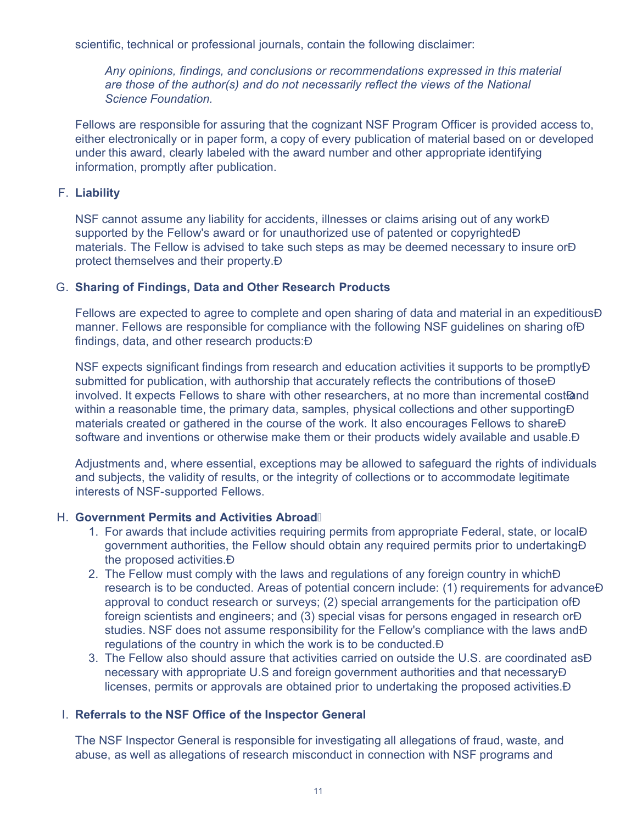scientific, technical or professional journals, contain the following disclaimer:

*Any opinions, findings, and conclusions or recommendations expressed in this material are those of the author(s) and do not necessarily reflect the views of the National Science Foundation.*

Fellows are responsible for assuring that the cognizant NSF Program Officer is provided access to, either electronically or in paper form, a copy of every publication of material based on or developed under this award, clearly labeled with the award number and other appropriate identifying information, promptly after publication.

## F. **Liability**

NSF cannot assume any liability for accidents, illnesses or claims arising out of any work supported by the Fellow's award or for unauthorized use of patented or copyrighted  $\acute{A}$ materials. The Fellow is advised to take such steps as may be deemed necessary to insure or A protect themselves and their property.

## G. **Sharing of Findings, Data and Other Research Products**

Fellows are expected to agree to complete and open sharing of data and material in an expeditious manner. Fellows are responsible for compliance with the following NSF quidelines on sharing of A findings, data, and other research products: A

NSF expects significant findings from research and education activities it supports to be promptly A submitted for publication, with authorship that accurately reflects the contributions of those  $\acute{A}$ involved. It expects Fellows to share with other researchers, at no more than incremental cost/and within a reasonable time, the primary data, samples, physical collections and other supporting A materials created or gathered in the course of the work. It also encourages Fellows to share A software and inventions or otherwise make them or their products widely available and usable. A

Adjustments and, where essential, exceptions may be allowed to safeguard the rights of individuals and subjects, the validity of results, or the integrity of collections or to accommodate legitimate interests of NSF-supported Fellows.

## H. **Government Permits and Activities Abroad**

- 1. For awards that include activities requiring permits from appropriate Federal, state, or local government authorities, the Fellow should obtain any required permits prior to undertaking the proposed activities.
- 2. The Fellow must comply with the laws and regulations of any foreign country in which A research is to be conducted. Areas of potential concern include: (1) requirements for advance  $\acute{A}$ approval to conduct research or surveys; (2) special arrangements for the participation of A foreign scientists and engineers; and (3) special visas for persons engaged in research or  $\acute{A}$ studies. NSF does not assume responsibility for the Fellow's compliance with the laws and A regulations of the country in which the work is to be conducted.
- 3. The Fellow also should assure that activities carried on outside the U.S. are coordinated as necessary with appropriate U.S and foreign government authorities and that necessary licenses, permits or approvals are obtained prior to undertaking the proposed activities.

## I. **Referrals to the NSF Office of the Inspector General**

The NSF Inspector General is responsible for investigating all allegations of fraud, waste, and abuse, as well as allegations of research misconduct in connection with NSF programs and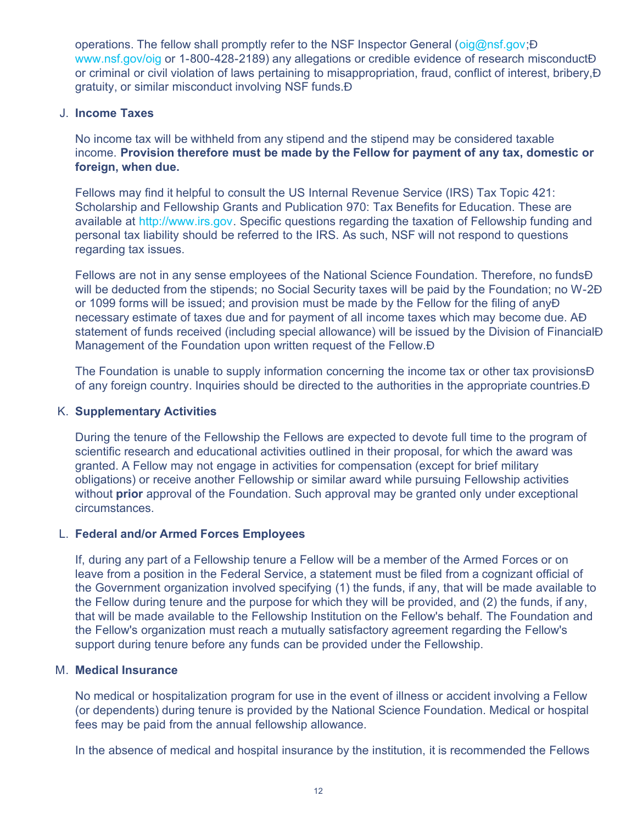operations. The fellow shall promptly refer to the NSF Inspector General (o[ig@nsf.gov;](mailto:oig@nsf.gov) $\overline{A}$ ) [www.nsf.gov/oig](http://www.nsf.gov/oig) or 1-800-428-2189) any allegations or credible evidence of research misconduct A or criminal or civil violation of laws pertaining to misappropriation, fraud, conflict of interest, bribery, gratuity, or similar misconduct involving NSF funds.

## J. **Income Taxes**

No income tax will be withheld from any stipend and the stipend may be considered taxable income. **Provision therefore must be made by the Fellow for payment of any tax, domestic or foreign, when due.**

Fellows may find it helpful to consult the US Internal Revenue Service (IRS) Tax Topic 421: Scholarship and Fellowship Grants and Publication 970: Tax Benefits for Education. These are available at [http://www.irs.gov](http://www.irs.gov/). Specific questions regarding the taxation of Fellowship funding and personal tax liability should be referred to the IRS. As such, NSF will not respond to questions regarding tax issues.

Fellows are not in any sense employees of the National Science Foundation. Therefore, no funds A will be deducted from the stipends; no Social Security taxes will be paid by the Foundation; no W-2A or 1099 forms will be issued; and provision must be made by the Fellow for the filing of any necessary estimate of taxes due and for payment of all income taxes which may become due. statement of funds received (including special allowance) will be issued by the Division of FinancialA Management of the Foundation upon written request of the Fellow. A

The Foundation is unable to supply information concerning the income tax or other tax provisions  $\hat{A}$ of any foreign country. Inquiries should be directed to the authorities in the appropriate countries.

## K. **Supplementary Activities**

During the tenure of the Fellowship the Fellows are expected to devote full time to the program of scientific research and educational activities outlined in their proposal, for which the award was granted. A Fellow may not engage in activities for compensation (except for brief military obligations) or receive another Fellowship or similar award while pursuing Fellowship activities without **prior** approval of the Foundation. Such approval may be granted only under exceptional circumstances.

## L. **Federal and/or Armed Forces Employees**

If, during any part of a Fellowship tenure a Fellow will be a member of the Armed Forces or on leave from a position in the Federal Service, a statement must be filed from a cognizant official of the Government organization involved specifying (1) the funds, if any, that will be made available to the Fellow during tenure and the purpose for which they will be provided, and (2) the funds, if any, that will be made available to the Fellowship Institution on the Fellow's behalf. The Foundation and the Fellow's organization must reach a mutually satisfactory agreement regarding the Fellow's support during tenure before any funds can be provided under the Fellowship.

## M. **Medical Insurance**

No medical or hospitalization program for use in the event of illness or accident involving a Fellow (or dependents) during tenure is provided by the National Science Foundation. Medical or hospital fees may be paid from the annual fellowship allowance.

In the absence of medical and hospital insurance by the institution, it is recommended the Fellows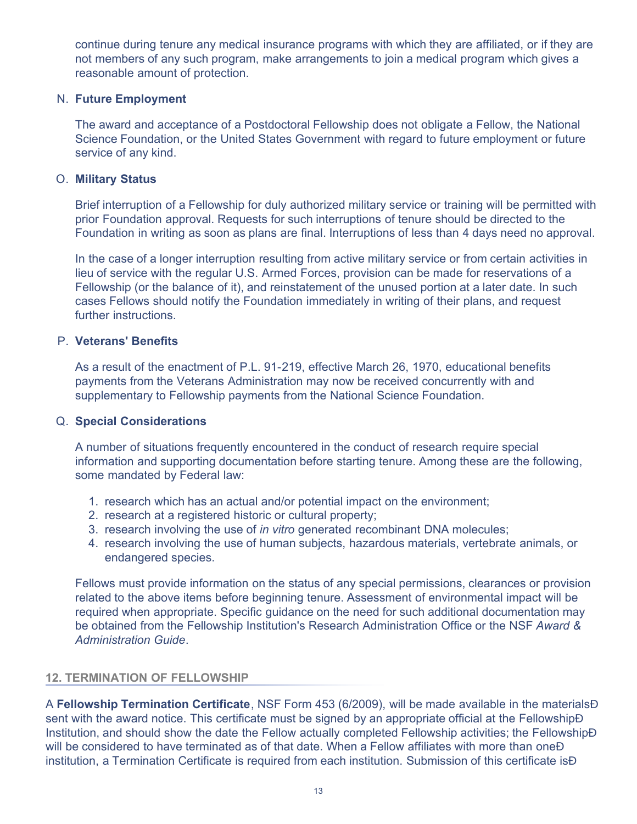continue during tenure any medical insurance programs with which they are affiliated, or if they are not members of any such program, make arrangements to join a medical program which gives a reasonable amount of protection.

#### N. **Future Employment**

The award and acceptance of a Postdoctoral Fellowship does not obligate a Fellow, the National Science Foundation, or the United States Government with regard to future employment or future service of any kind.

## O. **Military Status**

Brief interruption of a Fellowship for duly authorized military service or training will be permitted with prior Foundation approval. Requests for such interruptions of tenure should be directed to the Foundation in writing as soon as plans are final. Interruptions of less than 4 days need no approval.

In the case of a longer interruption resulting from active military service or from certain activities in lieu of service with the regular U.S. Armed Forces, provision can be made for reservations of a Fellowship (or the balance of it), and reinstatement of the unused portion at a later date. In such cases Fellows should notify the Foundation immediately in writing of their plans, and request further instructions.

#### P. **Veterans' Benefits**

As a result of the enactment of P.L. 91-219, effective March 26, 1970, educational benefits payments from the Veterans Administration may now be received concurrently with and supplementary to Fellowship payments from the National Science Foundation.

#### Q. **Special Considerations**

A number of situations frequently encountered in the conduct of research require special information and supporting documentation before starting tenure. Among these are the following, some mandated by Federal law:

- 1. research which has an actual and/or potential impact on the environment;
- 2. research at a registered historic or cultural property;
- 3. research involving the use of *in vitro* generated recombinant DNA molecules;
- 4. research involving the use of human subjects, hazardous materials, vertebrate animals, or endangered species.

Fellows must provide information on the status of any special permissions, clearances or provision related to the above items before beginning tenure. Assessment of environmental impact will be required when appropriate. Specific guidance on the need for such additional documentation may be obtained from the Fellowship Institution's Research Administration Office or the NSF *Award & Administration Guide*.

## <span id="page-12-0"></span>**12. TERMINATION OF FELLOWSHIP**

A **Fellowship Termination Certificate**, NSF Form 453 (6/2009), will be made available in the materials sent with the award notice. This certificate must be signed by an appropriate official at the FellowshipA Institution, and should show the date the Fellow actually completed Fellowship activities; the Fellowship will be considered to have terminated as of that date. When a Fellow affiliates with more than one  $\acute{\text{A}}$ institution, a Termination Certificate is required from each institution. Submission of this certificate is